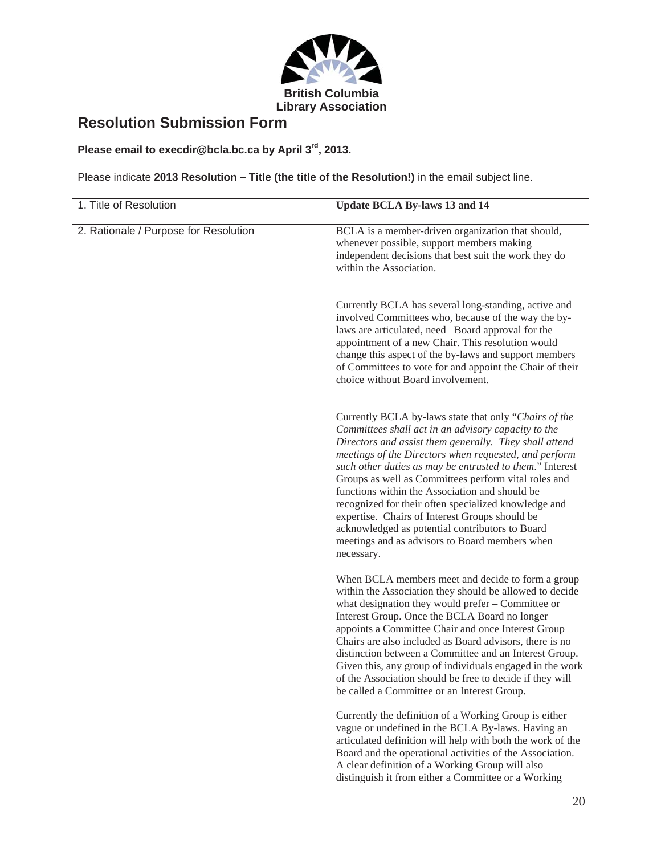

# **Resolution Submission Form**

## **Please email to execdir@bcla.bc.ca by April 3rd, 2013.**

Please indicate **2013 Resolution – Title (the title of the Resolution!)** in the email subject line.

| 1. Title of Resolution                | <b>Update BCLA By-laws 13 and 14</b>                                                                                                                                                                                                                                                                                                                                                                                                                                                                                                                                                                                               |
|---------------------------------------|------------------------------------------------------------------------------------------------------------------------------------------------------------------------------------------------------------------------------------------------------------------------------------------------------------------------------------------------------------------------------------------------------------------------------------------------------------------------------------------------------------------------------------------------------------------------------------------------------------------------------------|
| 2. Rationale / Purpose for Resolution | BCLA is a member-driven organization that should,<br>whenever possible, support members making<br>independent decisions that best suit the work they do<br>within the Association.                                                                                                                                                                                                                                                                                                                                                                                                                                                 |
|                                       | Currently BCLA has several long-standing, active and<br>involved Committees who, because of the way the by-<br>laws are articulated, need Board approval for the<br>appointment of a new Chair. This resolution would<br>change this aspect of the by-laws and support members<br>of Committees to vote for and appoint the Chair of their<br>choice without Board involvement.                                                                                                                                                                                                                                                    |
|                                       | Currently BCLA by-laws state that only "Chairs of the<br>Committees shall act in an advisory capacity to the<br>Directors and assist them generally. They shall attend<br>meetings of the Directors when requested, and perform<br>such other duties as may be entrusted to them." Interest<br>Groups as well as Committees perform vital roles and<br>functions within the Association and should be<br>recognized for their often specialized knowledge and<br>expertise. Chairs of Interest Groups should be<br>acknowledged as potential contributors to Board<br>meetings and as advisors to Board members when<br>necessary. |
|                                       | When BCLA members meet and decide to form a group<br>within the Association they should be allowed to decide<br>what designation they would prefer - Committee or<br>Interest Group. Once the BCLA Board no longer<br>appoints a Committee Chair and once Interest Group<br>Chairs are also included as Board advisors, there is no<br>distinction between a Committee and an Interest Group.<br>Given this, any group of individuals engaged in the work<br>of the Association should be free to decide if they will<br>be called a Committee or an Interest Group.                                                               |
|                                       | Currently the definition of a Working Group is either<br>vague or undefined in the BCLA By-laws. Having an<br>articulated definition will help with both the work of the<br>Board and the operational activities of the Association.<br>A clear definition of a Working Group will also<br>distinguish it from either a Committee or a Working                                                                                                                                                                                                                                                                                     |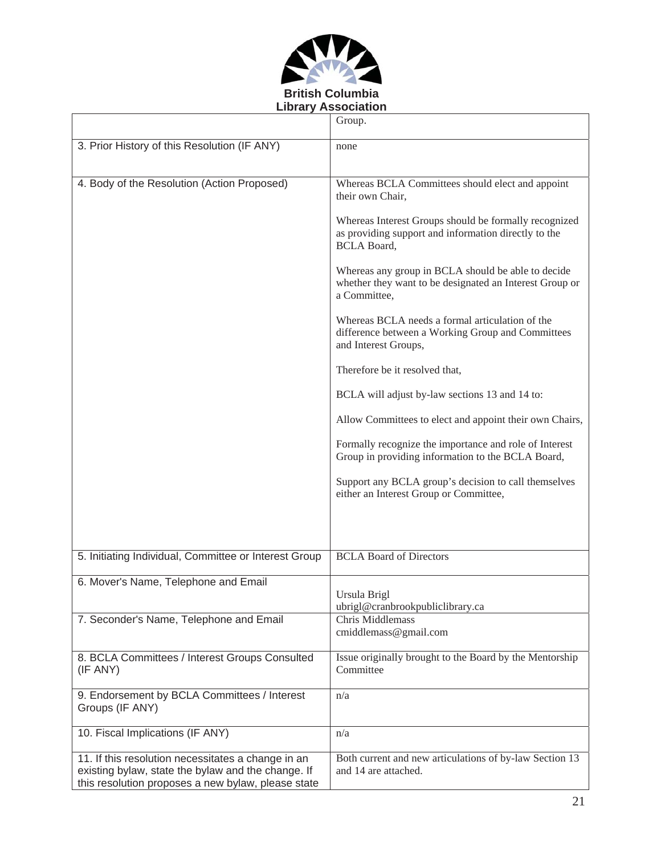

|                                                                                                                                                                | Group.                                                                                                                              |
|----------------------------------------------------------------------------------------------------------------------------------------------------------------|-------------------------------------------------------------------------------------------------------------------------------------|
| 3. Prior History of this Resolution (IF ANY)                                                                                                                   | none                                                                                                                                |
| 4. Body of the Resolution (Action Proposed)                                                                                                                    | Whereas BCLA Committees should elect and appoint<br>their own Chair,                                                                |
|                                                                                                                                                                | Whereas Interest Groups should be formally recognized<br>as providing support and information directly to the<br><b>BCLA Board,</b> |
|                                                                                                                                                                | Whereas any group in BCLA should be able to decide<br>whether they want to be designated an Interest Group or<br>a Committee,       |
|                                                                                                                                                                | Whereas BCLA needs a formal articulation of the<br>difference between a Working Group and Committees<br>and Interest Groups,        |
|                                                                                                                                                                | Therefore be it resolved that,                                                                                                      |
|                                                                                                                                                                | BCLA will adjust by-law sections 13 and 14 to:                                                                                      |
|                                                                                                                                                                | Allow Committees to elect and appoint their own Chairs,                                                                             |
|                                                                                                                                                                | Formally recognize the importance and role of Interest<br>Group in providing information to the BCLA Board,                         |
|                                                                                                                                                                | Support any BCLA group's decision to call themselves<br>either an Interest Group or Committee,                                      |
|                                                                                                                                                                |                                                                                                                                     |
| 5. Initiating Individual, Committee or Interest Group                                                                                                          | <b>BCLA Board of Directors</b>                                                                                                      |
| 6. Mover's Name, Telephone and Email                                                                                                                           | Ursula Brigl<br>ubrigl@cranbrookpubliclibrary.ca                                                                                    |
| 7. Seconder's Name, Telephone and Email                                                                                                                        | Chris Middlemass<br>cmiddlemass@gmail.com                                                                                           |
| 8. BCLA Committees / Interest Groups Consulted<br>(IF ANY)                                                                                                     | Issue originally brought to the Board by the Mentorship<br>Committee                                                                |
| 9. Endorsement by BCLA Committees / Interest<br>Groups (IF ANY)                                                                                                | n/a                                                                                                                                 |
| 10. Fiscal Implications (IF ANY)                                                                                                                               | n/a                                                                                                                                 |
| 11. If this resolution necessitates a change in an<br>existing bylaw, state the bylaw and the change. If<br>this resolution proposes a new bylaw, please state | Both current and new articulations of by-law Section 13<br>and 14 are attached.                                                     |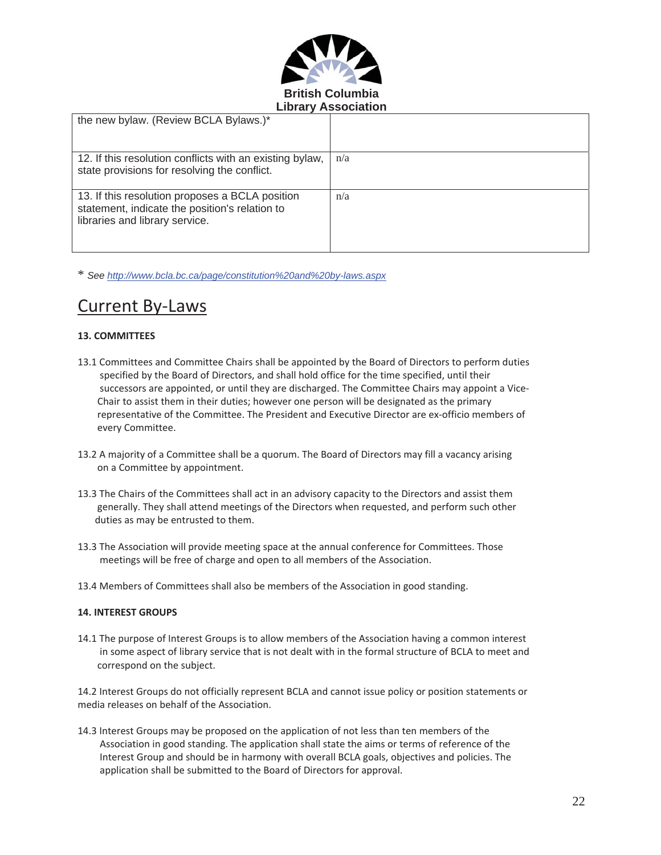

| the new bylaw. (Review BCLA Bylaws.)*                                                                                               |     |  |
|-------------------------------------------------------------------------------------------------------------------------------------|-----|--|
| 12. If this resolution conflicts with an existing bylaw,<br>state provisions for resolving the conflict.                            | n/a |  |
| 13. If this resolution proposes a BCLA position<br>statement, indicate the position's relation to<br>libraries and library service. | n/a |  |

\* *See http://www.bcla.bc.ca/page/constitution%20and%20by-laws.aspx*

# Current By-Laws

#### **13. COMMITTEES**

- 13.1 Committees and Committee Chairs shall be appointed by the Board of Directors to perform duties specified by the Board of Directors, and shall hold office for the time specified, until their successors are appointed, or until they are discharged. The Committee Chairs may appoint a Vice-Chair to assist them in their duties; however one person will be designated as the primary representative of the Committee. The President and Executive Director are ex-officio members of every Committee.
- 13.2 A majority of a Committee shall be a quorum. The Board of Directors may fill a vacancy arising on a Committee by appointment.
- 13.3 The Chairs of the Committees shall act in an advisory capacity to the Directors and assist them generally. They shall attend meetings of the Directors when requested, and perform such other duties as may be entrusted to them.
- 13.3 The Association will provide meeting space at the annual conference for Committees. Those meetings will be free of charge and open to all members of the Association.
- 13.4 Members of Committees shall also be members of the Association in good standing.

#### **14. INTEREST GROUPS**

14.1 The purpose of Interest Groups is to allow members of the Association having a common interest in some aspect of library service that is not dealt with in the formal structure of BCLA to meet and correspond on the subject.

14.2 Interest Groups do not officially represent BCLA and cannot issue policy or position statements or media releases on behalf of the Association.

14.3 Interest Groups may be proposed on the application of not less than ten members of the Association in good standing. The application shall state the aims or terms of reference of the Interest Group and should be in harmony with overall BCLA goals, objectives and policies. The application shall be submitted to the Board of Directors for approval.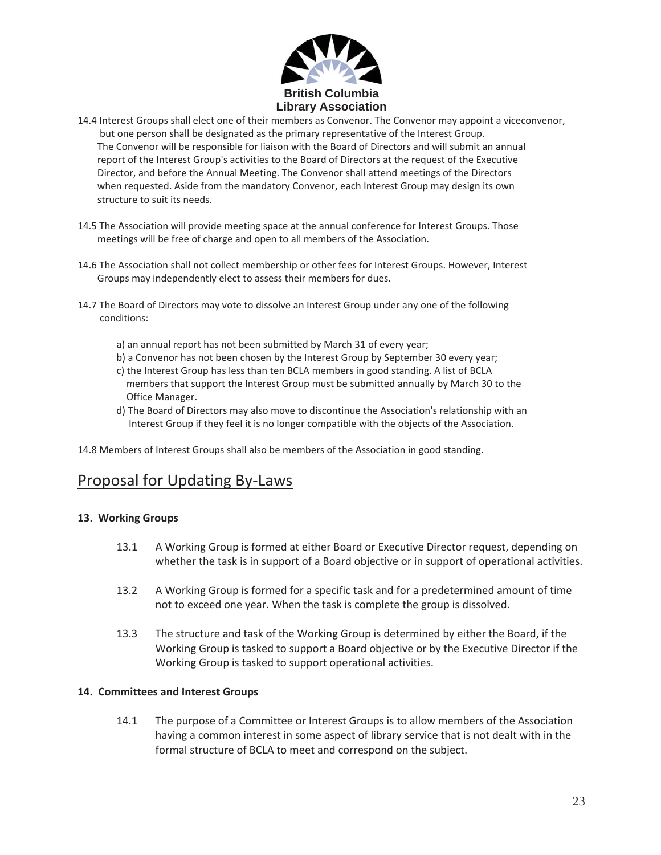

- 14.4 Interest Groups shall elect one of their members as Convenor. The Convenor may appoint a viceconvenor, but one person shall be designated as the primary representative of the Interest Group. The Convenor will be responsible for liaison with the Board of Directors and will submit an annual report of the Interest Group's activities to the Board of Directors at the request of the Executive Director, and before the Annual Meeting. The Convenor shall attend meetings of the Directors when requested. Aside from the mandatory Convenor, each Interest Group may design its own structure to suit its needs.
- 14.5 The Association will provide meeting space at the annual conference for Interest Groups. Those meetings will be free of charge and open to all members of the Association.
- 14.6 The Association shall not collect membership or other fees for Interest Groups. However, Interest Groups may independently elect to assess their members for dues.
- 14.7 The Board of Directors may vote to dissolve an Interest Group under any one of the following conditions:
	- a) an annual report has not been submitted by March 31 of every year;
	- b) a Convenor has not been chosen by the Interest Group by September 30 every year;
	- c) the Interest Group has less than ten BCLA members in good standing. A list of BCLA members that support the Interest Group must be submitted annually by March 30 to the Office Manager.
	- d) The Board of Directors may also move to discontinue the Association's relationship with an Interest Group if they feel it is no longer compatible with the objects of the Association.

14.8 Members of Interest Groups shall also be members of the Association in good standing.

## Proposal for Updating By-Laws

### **13.Working Groups**

- 13.1 A Working Group is formed at either Board or Executive Director request, depending on whether the task is in support of a Board objective or in support of operational activities.
- 13.2 A Working Group is formed for a specific task and for a predetermined amount of time not to exceed one year. When the task is complete the group is dissolved.
- 13.3 The structure and task of the Working Group is determined by either the Board, if the Working Group is tasked to support a Board objective or by the Executive Director if the Working Group is tasked to support operational activities.

### **14.Committees and Interest Groups**

14.1 The purpose of a Committee or Interest Groups is to allow members of the Association having a common interest in some aspect of library service that is not dealt with in the formal structure of BCLA to meet and correspond on the subject.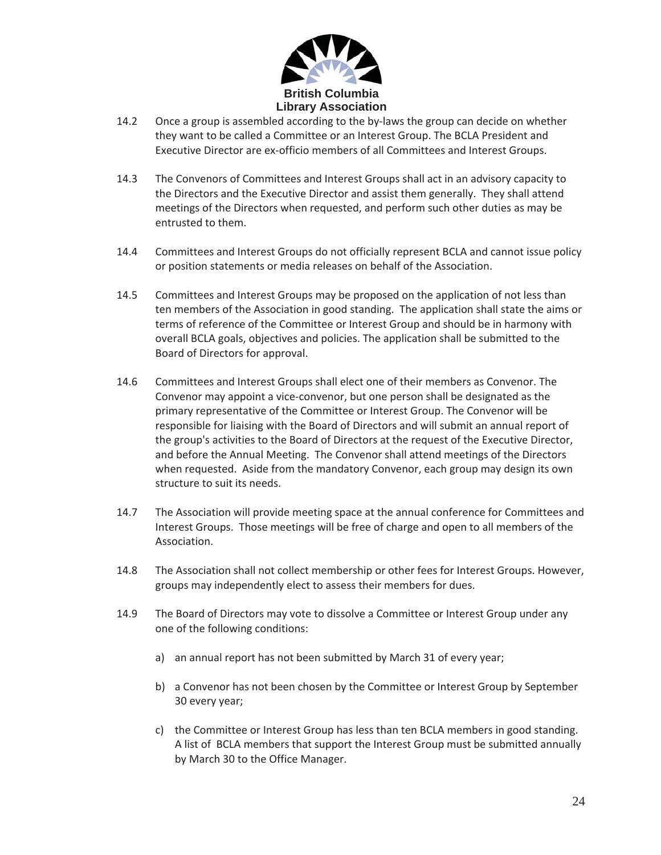

- 14.2 Once a group is assembled according to the by-laws the group can decide on whether they want to be called a Committee or an Interest Group. The BCLA President and Executive Director are ex-officio members of all Committees and Interest Groups.
- 14.3 The Convenors of Committees and Interest Groups shall act in an advisory capacity to the Directors and the Executive Director and assist them generally. They shall attend meetings of the Directors when requested, and perform such other duties as may be entrusted to them.
- 14.4 Committees and Interest Groups do not officially represent BCLA and cannot issue policy or position statements or media releases on behalf of the Association.
- 14.5 Committees and Interest Groups may be proposed on the application of not less than ten members of the Association in good standing. The application shall state the aims or terms of reference of the Committee or Interest Group and should be in harmony with overall BCLA goals, objectives and policies. The application shall be submitted to the Board of Directors for approval.
- 14.6 Committees and Interest Groups shall elect one of their members as Convenor. The Convenor may appoint a vice-convenor, but one person shall be designated as the primary representative of the Committee or Interest Group. The Convenor will be responsible for liaising with the Board of Directors and will submit an annual report of the group's activities to the Board of Directors at the request of the Executive Director, and before the Annual Meeting. The Convenor shall attend meetings of the Directors when requested. Aside from the mandatory Convenor, each group may design its own structure to suit its needs.
- 14.7 The Association will provide meeting space at the annual conference for Committees and Interest Groups. Those meetings will be free of charge and open to all members of the Association.
- 14.8 The Association shall not collect membership or other fees for Interest Groups. However, groups may independently elect to assess their members for dues.
- 14.9 The Board of Directors may vote to dissolve a Committee or Interest Group under any one of the following conditions:
	- a) an annual report has not been submitted by March 31 of every year;
	- b) a Convenor has not been chosen by the Committee or Interest Group by September 30 every year;
	- c) the Committee or Interest Group has less than ten BCLA members in good standing. A list of BCLA members that support the Interest Group must be submitted annually by March 30 to the Office Manager.